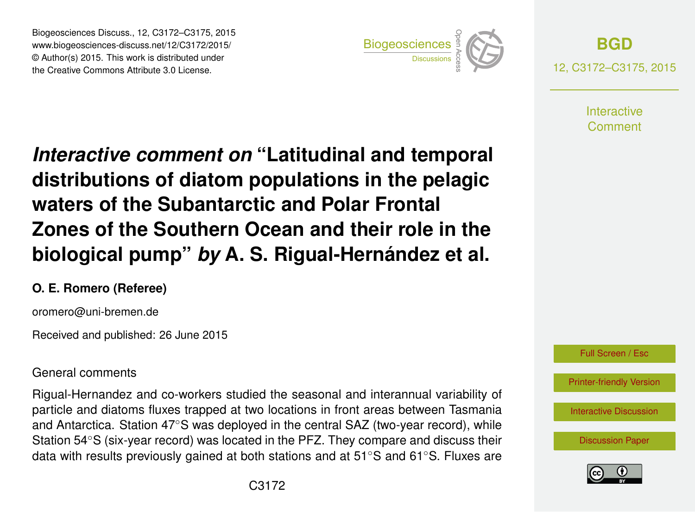Biogeosciences Discuss., 12, C3172–C3175, 2015 www.biogeosciences-discuss.net/12/C3172/2015/ © Author(s) 2015. This work is distributed under Biogeosciences Discuss., 12, C3172–C3175, 2015<br>
www.biogeosciences-discuss.net/12/C3172/2015/<br>
© Author(s) 2015. This work is distributed under<br>
the Creative Commons Attribute 3.0 License.



**[BGD](http://www.biogeosciences-discuss.net)** 12, C3172–C3175, 2015

> **Interactive** Comment

*Interactive comment on* **"Latitudinal and temporal distributions of diatom populations in the pelagic waters of the Subantarctic and Polar Frontal Zones of the Southern Ocean and their role in the biological pump"** *by* **A. S. Rigual-Hernández et al.**

## **O. E. Romero (Referee)**

oromero@uni-bremen.de

Received and published: 26 June 2015

## General comments

Rigual-Hernandez and co-workers studied the seasonal and interannual variability of particle and diatoms fluxes trapped at two locations in front areas between Tasmania and Antarctica. Station 47◦S was deployed in the central SAZ (two-year record), while Station 54◦S (six-year record) was located in the PFZ. They compare and discuss their data with results previously gained at both stations and at 51◦S and 61◦S. Fluxes are



Full Screen / Esc

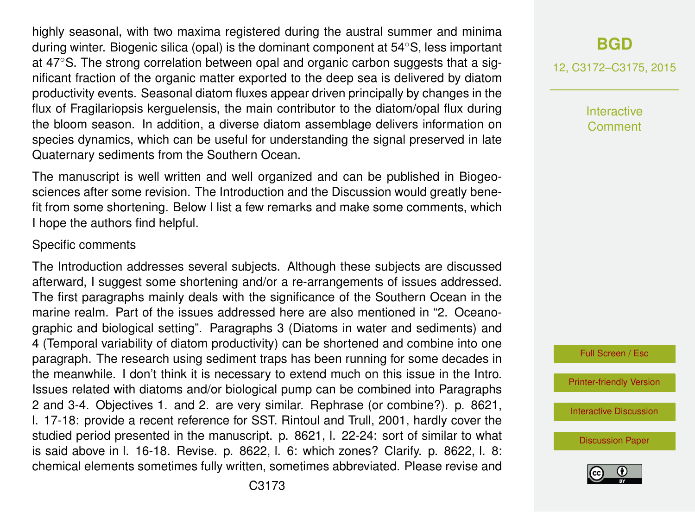highly seasonal, with two maxima registered during the austral summer and minima during winter. Biogenic silica (opal) is the dominant component at 54◦S, less important at 47◦S. The strong correlation between opal and organic carbon suggests that a significant fraction of the organic matter exported to the deep sea is delivered by diatom productivity events. Seasonal diatom fluxes appear driven principally by changes in the flux of Fragilariopsis kerguelensis, the main contributor to the diatom/opal flux during the bloom season. In addition, a diverse diatom assemblage delivers information on species dynamics, which can be useful for understanding the signal preserved in late Quaternary sediments from the Southern Ocean.

The manuscript is well written and well organized and can be published in Biogeosciences after some revision. The Introduction and the Discussion would greatly benefit from some shortening. Below I list a few remarks and make some comments, which I hope the authors find helpful.

#### Specific comments

The Introduction addresses several subjects. Although these subjects are discussed afterward, I suggest some shortening and/or a re-arrangements of issues addressed. The first paragraphs mainly deals with the significance of the Southern Ocean in the marine realm. Part of the issues addressed here are also mentioned in "2. Oceanographic and biological setting". Paragraphs 3 (Diatoms in water and sediments) and 4 (Temporal variability of diatom productivity) can be shortened and combine into one paragraph. The research using sediment traps has been running for some decades in the meanwhile. I don't think it is necessary to extend much on this issue in the Intro. Issues related with diatoms and/or biological pump can be combined into Paragraphs 2 and 3-4. Objectives 1. and 2. are very similar. Rephrase (or combine?). p. 8621, l. 17-18: provide a recent reference for SST. Rintoul and Trull, 2001, hardly cover the studied period presented in the manuscript. p. 8621, l. 22-24: sort of similar to what is said above in l. 16-18. Revise. p. 8622, l. 6: which zones? Clarify. p. 8622, l. 8: chemical elements sometimes fully written, sometimes abbreviated. Please revise and

# **[BGD](http://www.biogeosciences-discuss.net)**

12, C3172–C3175, 2015

Interactive Comment

Full Screen / Esc

[Printer-friendly Version](http://www.biogeosciences-discuss.net/12/C3172/2015/bgd-12-C3172-2015-print.pdf)

[Interactive Discussion](http://www.biogeosciences-discuss.net/12/8615/2015/bgd-12-8615-2015-discussion.html)

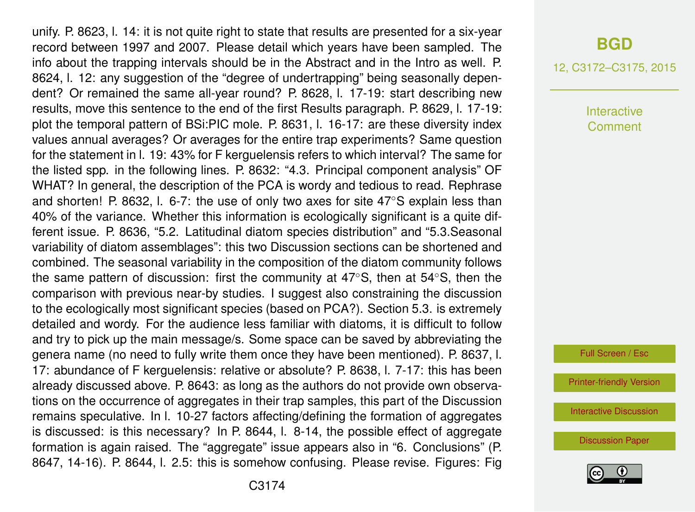unify. P. 8623, l. 14: it is not quite right to state that results are presented for a six-year record between 1997 and 2007. Please detail which years have been sampled. The info about the trapping intervals should be in the Abstract and in the Intro as well. P. 8624, l. 12: any suggestion of the "degree of undertrapping" being seasonally dependent? Or remained the same all-year round? P. 8628, l. 17-19: start describing new results, move this sentence to the end of the first Results paragraph. P. 8629, l. 17-19: plot the temporal pattern of BSi:PIC mole. P. 8631, l. 16-17: are these diversity index values annual averages? Or averages for the entire trap experiments? Same question for the statement in l. 19: 43% for F kerguelensis refers to which interval? The same for the listed spp. in the following lines. P. 8632: "4.3. Principal component analysis" OF WHAT? In general, the description of the PCA is wordy and tedious to read. Rephrase and shorten! P. 8632, l. 6-7: the use of only two axes for site 47◦S explain less than 40% of the variance. Whether this information is ecologically significant is a quite different issue. P. 8636, "5.2. Latitudinal diatom species distribution" and "5.3.Seasonal variability of diatom assemblages": this two Discussion sections can be shortened and combined. The seasonal variability in the composition of the diatom community follows the same pattern of discussion: first the community at 47◦S, then at 54◦S, then the comparison with previous near-by studies. I suggest also constraining the discussion to the ecologically most significant species (based on PCA?). Section 5.3. is extremely detailed and wordy. For the audience less familiar with diatoms, it is difficult to follow and try to pick up the main message/s. Some space can be saved by abbreviating the genera name (no need to fully write them once they have been mentioned). P. 8637, l. 17: abundance of F kerguelensis: relative or absolute? P. 8638, l. 7-17: this has been already discussed above. P. 8643: as long as the authors do not provide own observations on the occurrence of aggregates in their trap samples, this part of the Discussion remains speculative. In l. 10-27 factors affecting/defining the formation of aggregates is discussed: is this necessary? In P. 8644, l. 8-14, the possible effect of aggregate formation is again raised. The "aggregate" issue appears also in "6. Conclusions" (P. 8647, 14-16). P. 8644, l. 2.5: this is somehow confusing. Please revise. Figures: Fig

## **[BGD](http://www.biogeosciences-discuss.net)**

12, C3172–C3175, 2015

**Interactive** Comment

Full Screen / Esc

[Printer-friendly Version](http://www.biogeosciences-discuss.net/12/C3172/2015/bgd-12-C3172-2015-print.pdf)

[Interactive Discussion](http://www.biogeosciences-discuss.net/12/8615/2015/bgd-12-8615-2015-discussion.html)